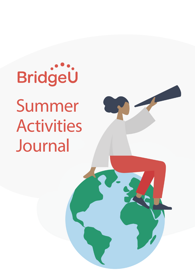BridgeÜ Summer Activities Journal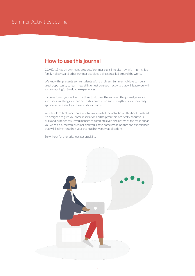#### **How to use this journal**

COVID-19 has thrown many students' summer plans into disarray, with internships, family holidays, and other summer activities being cancelled around the world.

We know this presents some students with a problem. Summer holidays can be a great opportunity to learn new skills or just pursue an activity that will leave you with some meaningful & valuable experiences.

If you've found yourself with nothing to do over the summer, this journal gives you some ideas of things you can do to stay productive and strengthen your university applications - even if you have to stay at home!

You shouldn't feel under pressure to take on all of the activities in this book - instead, it's designed to give you some inspiration and help you think critically about your skills and experiences. If you manage to complete even one or two of the tasks ahead, you've had a successful summer and you'll have some great insights and experiences that will likely strengthen your eventual university applications.

So without further ado, let's get stuck in...

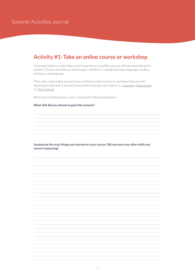### **Activity #1: Take an online course or workshop**

If you have had your internship or work experience cancelled, you can still learn something this summer! Choose one skill you want to gain - whether it's coding, learning a language, creative writing, or anything else.

Then, take a look online and see if you can find an online course or workshop that can start teaching you this skill. If you don't know where to begin your search, try [Coursera](https://www.coursera.org/), [FutureLearn,](https://www.futurelearn.com/) or [Class Central](https://www.classcentral.com/).

When you've finished your course, answer the following questions.

#### **What skill did you choose to gain this summer?**

#### **Summarise the main things you learned on your course. Did you learn any other skills you weren't expecting?**

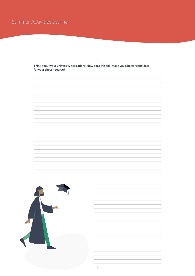**Think about your university aspirations. How does this skill make you a better candidate for your chosen course?**

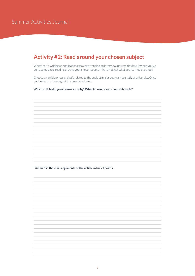### **Activity #2: Read around your chosen subject**

Whether it's writing an application essay or attending an interview, universities love it when you've done some extra reading around your chosen course - that's not just what you learned at school!

Choose an article or essay that's related to the subject/major you want to study at university. Once you've read it, have a go at the questions below.

#### **Which article did you choose and why? What interests you about this topic?**

**Summarise the main arguments of the article in bullet points.**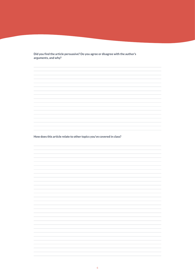**Did you find the article persuasive? Do you agree or disagree with the author's arguments, and why?**

**How does this article relate to other topics you've covered in class?**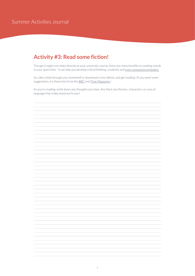## **Activity #3: Read some fiction!**

Though it might not relate directly to your university course, there are many benefits to reading a book in your spare time - it can help you develop critical thinking, creativity and [even compassion/empathy.](https://www.bbc.com/future/article/20190523-does-reading-fiction-make-us-better-people)

So, take a look through your bookshelf or download a new eBook, and get reading! (If you want some suggestions, try these lists from the [BBC](https://www.bbc.co.uk/arts/bigread/top100.shtml) and [Time Magazine.](https://www.listchallenges.com/time-magazine-the-100-best-young-adult-books))

As you're reading, write down any thoughts you have. Are there any themes, characters, or uses of language that really stand out to you?

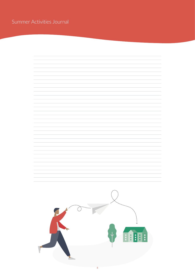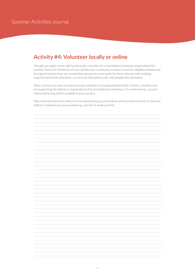### **Activity #4: Volunteer locally or online**

Though you might not be able to physically volunteer for a charitable/community organisation this summer, there are still plenty of ways to help your community. In many countries, neighbourhoods and local governments have set up volunteer groups to run errands for those who are self-isolating, organise food bank collections, or even just have phone calls with people who are lonely.

Many charities are also recruiting remote volunteers including mental health charities, charities who are supporting the elderly or organisations that are helping the homeless. It's worth having a search online and seeing what's available in your country.

Take some time below to reflect on any volunteering you have done, what you learned from it, any new skills or competencies you've picked up, and how it made you feel.

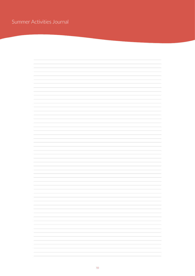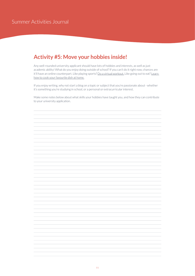### **Activity #5: Move your hobbies inside!**

Any well-rounded university applicant should have lots of hobbies and interests, as well as just academic ability! What do you enjoy doing outside of school? If you can't do it right now, chances are it'll have an online counterpart. Like playing sports? [Do a virtual workout.](https://www.youtube.com/channel/UCAxW1XT0iEJo0TYlRfn6rYQ) Like going out to eat? Learn [how to cook your favourite dish at home.](https://www.stylist.co.uk/life/recipes/takeaway-recipes-greggs-mcdonalds-pret-wagamama/377124)

If you enjoy writing, why not start a blog on a topic or subject that you're passionate about - whether it's something you're studying in school, or a personal or extracurricular interest.

Make some notes below about what skills your hobbies have taught you, and how they can contribute to your university application.

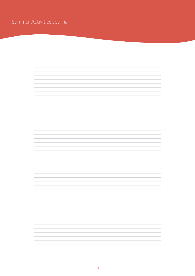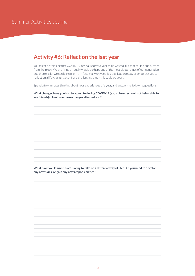### **Activity #6: Reflect on the last year**

You might be thinking that COVID-19 has caused your year to be wasted, but that couldn't be further from the truth! We are living through what is perhaps one of the most pivotal times of our generation, and there's a lot we can learn from it. In fact, many universities' application essay prompts ask you to reflect on a life-changing event or a challenging time - this could be yours!

Spend a few minutes thinking about your experiences this year, and answer the following questions.

**What changes have you had to adjust to during COVID-19 (e.g. a closed school, not being able to see friends)? How have these changes affected you?**

**What have you learned from having to take on a different way of life? Did you need to develop any new skills, or gain any new responsibilities?**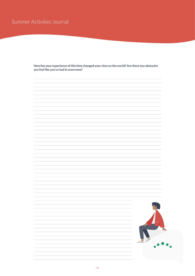**How has your experience of this time changed your view on the world? Are there any obstacles you feel like you've had to overcome?**

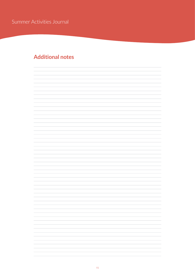# **Additional notes**